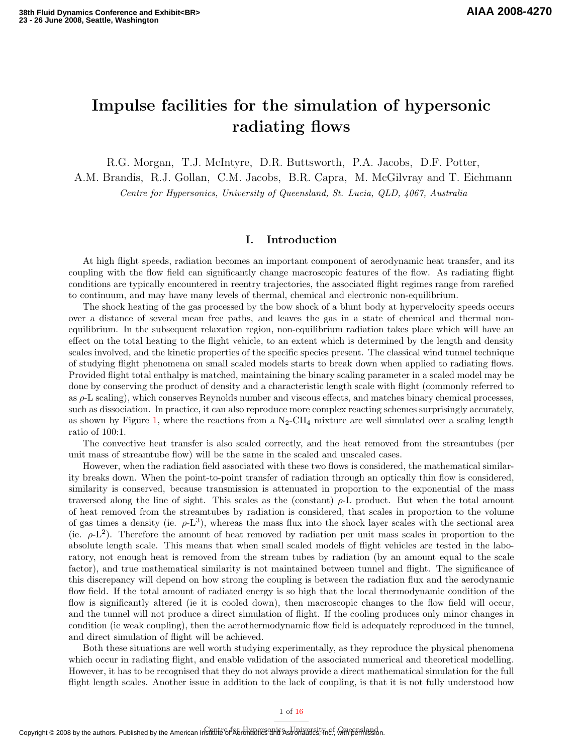# Impulse facilities for the simulation of hypersonic radiating flows

R.G. Morgan, T.J. McIntyre, D.R. Buttsworth, P.A. Jacobs, D.F. Potter,

A.M. Brandis, R.J. Gollan, C.M. Jacobs, B.R. Capra, M. McGilvray and T. Eichmann

Centre for Hypersonics, University of Queensland, St. Lucia, QLD, 4067, Australia

### I. Introduction

At high flight speeds, radiation becomes an important component of aerodynamic heat transfer, and its coupling with the flow field can significantly change macroscopic features of the flow. As radiating flight conditions are typically encountered in reentry trajectories, the associated flight regimes range from rarefied to continuum, and may have many levels of thermal, chemical and electronic non-equilibrium.

The shock heating of the gas processed by the bow shock of a blunt body at hypervelocity speeds occurs over a distance of several mean free paths, and leaves the gas in a state of chemical and thermal nonequilibrium. In the subsequent relaxation region, non-equilibrium radiation takes place which will have an effect on the total heating to the flight vehicle, to an extent which is determined by the length and density scales involved, and the kinetic properties of the specific species present. The classical wind tunnel technique of studying flight phenomena on small scaled models starts to break down when applied to radiating flows. Provided flight total enthalpy is matched, maintaining the binary scaling parameter in a scaled model may be done by conserving the product of density and a characteristic length scale with flight (commonly referred to as  $\rho$ -L scaling), which conserves Reynolds number and viscous effects, and matches binary chemical processes, such as dissociation. In practice, it can also reproduce more complex reacting schemes surprisingly accurately, as shown by Figure 1, where the reactions from a  $N_2$ -CH<sub>4</sub> mixture are well simulated over a scaling length ratio of 100:1.

The convective heat transfer is also scaled correctly, and the heat removed from the streamtubes (per unit mass of streamtube flow) will be the same in the scaled and unscaled cases.

However, when the radiation field associated with these two flows is considered, the mathematical similarity breaks down. When the point-to-point transfer of radiation through an optically thin flow is considered, similarity is conserved, because transmission is attenuated in proportion to the exponential of the mass traversed along the line of sight. This scales as the (constant)  $\rho$ -L product. But when the total amount of heat removed from the streamtubes by radiation is considered, that scales in proportion to the volume of gas times a density (ie.  $\rho L^3$ ), whereas the mass flux into the shock layer scales with the sectional area (ie.  $\rho$ -L<sup>2</sup>). Therefore the amount of heat removed by radiation per unit mass scales in proportion to the absolute length scale. This means that when small scaled models of flight vehicles are tested in the laboratory, not enough heat is removed from the stream tubes by radiation (by an amount equal to the scale factor), and true mathematical similarity is not maintained between tunnel and flight. The significance of this discrepancy will depend on how strong the coupling is between the radiation flux and the aerodynamic flow field. If the total amount of radiated energy is so high that the local thermodynamic condition of the flow is significantly altered (ie it is cooled down), then macroscopic changes to the flow field will occur, and the tunnel will not produce a direct simulation of flight. If the cooling produces only minor changes in condition (ie weak coupling), then the aerothermodynamic flow field is adequately reproduced in the tunnel, and direct simulation of flight will be achieved.

Both these situations are well worth studying experimentally, as they reproduce the physical phenomena which occur in radiating flight, and enable validation of the associated numerical and theoretical modelling. However, it has to be recognised that they do not always provide a direct mathematical simulation for the full flight length scales. Another issue in addition to the lack of coupling, is that it is not fully understood how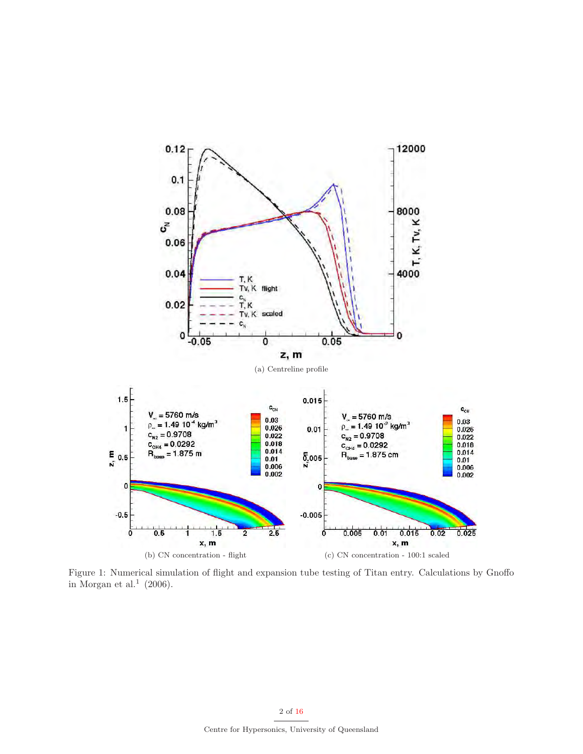

Figure 1: Numerical simulation of flight and expansion tube testing of Titan entry. Calculations by Gnoffo in Morgan et al.<sup>1</sup> (2006).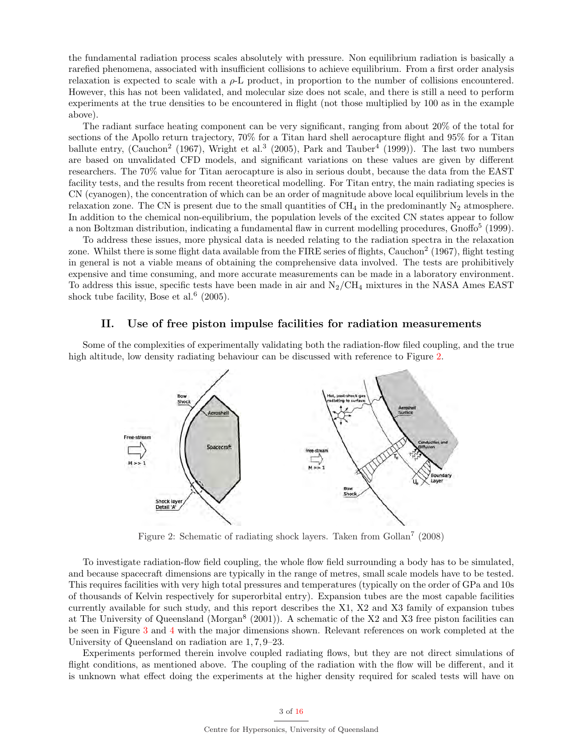the fundamental radiation process scales absolutely with pressure. Non equilibrium radiation is basically a rarefied phenomena, associated with insufficient collisions to achieve equilibrium. From a first order analysis relaxation is expected to scale with a  $\rho$ -L product, in proportion to the number of collisions encountered. However, this has not been validated, and molecular size does not scale, and there is still a need to perform experiments at the true densities to be encountered in flight (not those multiplied by 100 as in the example above).

The radiant surface heating component can be very significant, ranging from about 20% of the total for sections of the Apollo return trajectory, 70% for a Titan hard shell aerocapture flight and 95% for a Titan ballute entry, (Cauchon<sup>2</sup> (1967), Wright et al.<sup>3</sup> (2005), Park and Tauber<sup>4</sup> (1999)). The last two numbers are based on unvalidated CFD models, and significant variations on these values are given by different researchers. The 70% value for Titan aerocapture is also in serious doubt, because the data from the EAST facility tests, and the results from recent theoretical modelling. For Titan entry, the main radiating species is CN (cyanogen), the concentration of which can be an order of magnitude above local equilibrium levels in the relaxation zone. The CN is present due to the small quantities of  $CH_4$  in the predominantly N<sub>2</sub> atmosphere. In addition to the chemical non-equilibrium, the population levels of the excited CN states appear to follow a non Boltzman distribution, indicating a fundamental flaw in current modelling procedures, Gnoffo<sup>5</sup> (1999).

To address these issues, more physical data is needed relating to the radiation spectra in the relaxation zone. Whilst there is some flight data available from the FIRE series of flights, Cauchon<sup>2</sup> (1967), flight testing in general is not a viable means of obtaining the comprehensive data involved. The tests are prohibitively expensive and time consuming, and more accurate measurements can be made in a laboratory environment. To address this issue, specific tests have been made in air and  $N_2/CH_4$  mixtures in the NASA Ames EAST shock tube facility, Bose et al.<sup>6</sup> (2005).

# II. Use of free piston impulse facilities for radiation measurements

Some of the complexities of experimentally validating both the radiation-flow filed coupling, and the true high altitude, low density radiating behaviour can be discussed with reference to Figure 2.



Figure 2: Schematic of radiating shock layers. Taken from  $\text{Gollan}^7 (2008)$ 

To investigate radiation-flow field coupling, the whole flow field surrounding a body has to be simulated, and because spacecraft dimensions are typically in the range of metres, small scale models have to be tested. This requires facilities with very high total pressures and temperatures (typically on the order of GPa and 10s of thousands of Kelvin respectively for superorbital entry). Expansion tubes are the most capable facilities currently available for such study, and this report describes the X1, X2 and X3 family of expansion tubes at The University of Queensland (Morgan<sup>8</sup> (2001)). A schematic of the X2 and X3 free piston facilities can be seen in Figure 3 and 4 with the major dimensions shown. Relevant references on work completed at the University of Queensland on radiation are 1, 7, 9–23.

Experiments performed therein involve coupled radiating flows, but they are not direct simulations of flight conditions, as mentioned above. The coupling of the radiation with the flow will be different, and it is unknown what effect doing the experiments at the higher density required for scaled tests will have on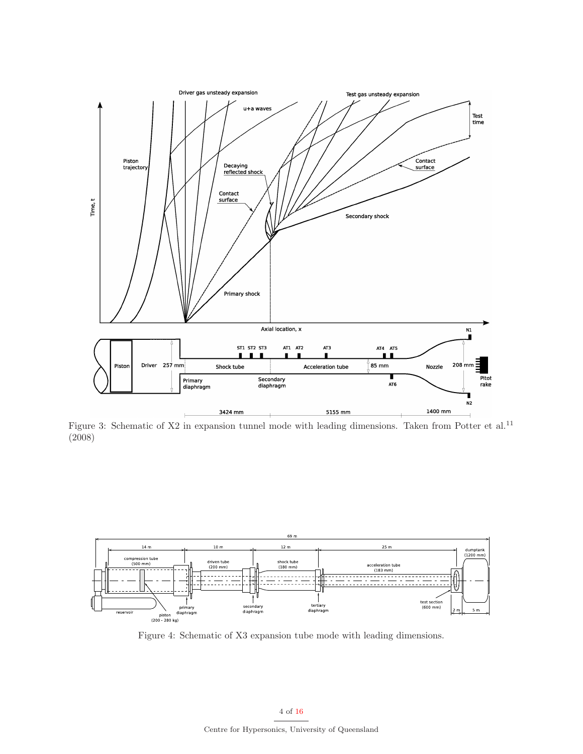

Figure 3: Schematic of X2 in expansion tunnel mode with leading dimensions. Taken from Potter et al.<sup>11</sup> (2008)



Figure 4: Schematic of X3 expansion tube mode with leading dimensions.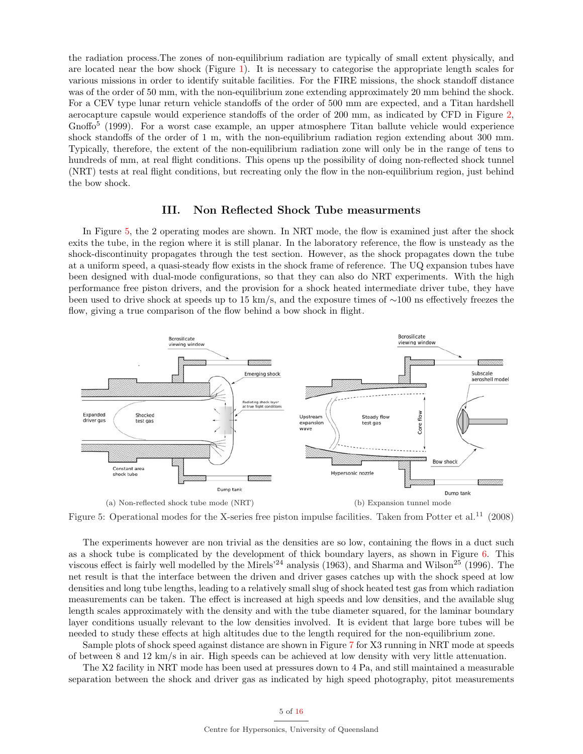the radiation process.The zones of non-equilibrium radiation are typically of small extent physically, and are located near the bow shock (Figure 1). It is necessary to categorise the appropriate length scales for various missions in order to identify suitable facilities. For the FIRE missions, the shock standoff distance was of the order of 50 mm, with the non-equilibrium zone extending approximately 20 mm behind the shock. For a CEV type lunar return vehicle standoffs of the order of 500 mm are expected, and a Titan hardshell aerocapture capsule would experience standoffs of the order of 200 mm, as indicated by CFD in Figure 2, Gnoffo<sup>5</sup> (1999). For a worst case example, an upper atmosphere Titan ballute vehicle would experience shock standoffs of the order of 1 m, with the non-equilibrium radiation region extending about 300 mm. Typically, therefore, the extent of the non-equilibrium radiation zone will only be in the range of tens to hundreds of mm, at real flight conditions. This opens up the possibility of doing non-reflected shock tunnel (NRT) tests at real flight conditions, but recreating only the flow in the non-equilibrium region, just behind the bow shock.

# III. Non Reflected Shock Tube measurments

In Figure 5, the 2 operating modes are shown. In NRT mode, the flow is examined just after the shock exits the tube, in the region where it is still planar. In the laboratory reference, the flow is unsteady as the shock-discontinuity propagates through the test section. However, as the shock propagates down the tube at a uniform speed, a quasi-steady flow exists in the shock frame of reference. The UQ expansion tubes have been designed with dual-mode configurations, so that they can also do NRT experiments. With the high performance free piston drivers, and the provision for a shock heated intermediate driver tube, they have been used to drive shock at speeds up to 15 km/s, and the exposure times of ∼100 ns effectively freezes the flow, giving a true comparison of the flow behind a bow shock in flight.



Figure 5: Operational modes for the X-series free piston impulse facilities. Taken from Potter et al.<sup>11</sup> (2008)

The experiments however are non trivial as the densities are so low, containing the flows in a duct such as a shock tube is complicated by the development of thick boundary layers, as shown in Figure 6. This viscous effect is fairly well modelled by the Mirels<sup>'24</sup> analysis (1963), and Sharma and Wilson<sup>25</sup> (1996). The net result is that the interface between the driven and driver gases catches up with the shock speed at low densities and long tube lengths, leading to a relatively small slug of shock heated test gas from which radiation measurements can be taken. The effect is increased at high speeds and low densities, and the available slug length scales approximately with the density and with the tube diameter squared, for the laminar boundary layer conditions usually relevant to the low densities involved. It is evident that large bore tubes will be needed to study these effects at high altitudes due to the length required for the non-equilibrium zone.

Sample plots of shock speed against distance are shown in Figure 7 for X3 running in NRT mode at speeds of between 8 and 12 km/s in air. High speeds can be achieved at low density with very little attenuation.

The X2 facility in NRT mode has been used at pressures down to 4 Pa, and still maintained a measurable separation between the shock and driver gas as indicated by high speed photography, pitot measurements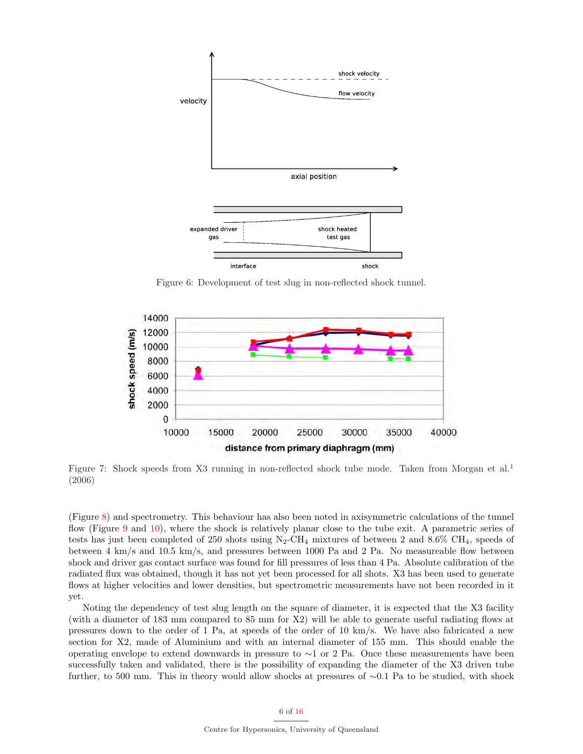

Figure 6: Development of test slug in non-reflected shock tunnel.



Figure 7: Shock speeds from X3 running in non-reflected shock tube mode. Taken from Morgan et al.<sup>1</sup> (2006)

(Figure 8) and spectrometry. This behaviour has also been noted in axisymmetric calculations of the tunnel flow (Figure 9 and 10), where the shock is relatively planar close to the tube exit. A parametric series of tests has just been completed of 250 shots using  $N_2$ -CH<sub>4</sub> mixtures of between 2 and 8.6% CH<sub>4</sub>, speeds of between 4 km/s and 10.5 km/s, and pressures between 1000 Pa and 2 Pa. No measureable flow between shock and driver gas contact surface was found for fill pressures of less than 4 Pa. Absolute calibration of the radiated flux was obtained, though it has not yet been processed for all shots. X3 has been used to generate flows at higher velocities and lower densities, but spectrometric measurements have not been recorded in it yet.

Noting the dependency of test slug length on the square of diameter, it is expected that the X3 facility (with a diameter of 183 mm compared to 85 mm for X2) will be able to generate useful radiating flows at pressures down to the order of 1 Pa, at speeds of the order of 10 km/s. We have also fabricated a new section for X2, made of Aluminium and with an internal diameter of 155 mm. This should enable the operating envelope to extend downwards in pressure to ∼1 or 2 Pa. Once these measurements have been successfully taken and validated, there is the possibility of expanding the diameter of the X3 driven tube further, to 500 mm. This in theory would allow shocks at pressures of ∼0.1 Pa to be studied, with shock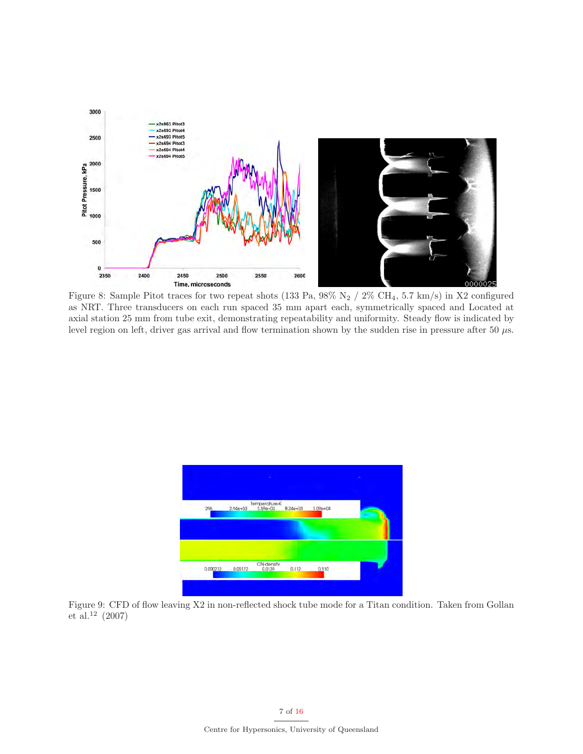

Figure 8: Sample Pitot traces for two repeat shots (133 Pa,  $98\%$  N<sub>2</sub> /  $2\%$  CH<sub>4</sub>, 5.7 km/s) in X2 configured as NRT. Three transducers on each run spaced 35 mm apart each, symmetrically spaced and Located at axial station 25 mm from tube exit, demonstrating repeatability and uniformity. Steady flow is indicated by level region on left, driver gas arrival and flow termination shown by the sudden rise in pressure after 50  $\mu$ s.



Figure 9: CFD of flow leaving X2 in non-reflected shock tube mode for a Titan condition. Taken from Gollan et al.<sup>12</sup> (2007)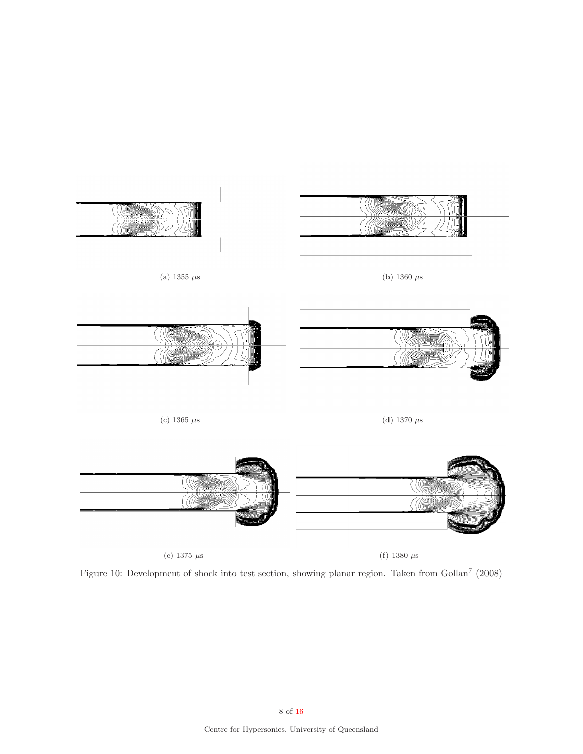

(e) 1375  $\mu$ s (f) 1380  $\mu$ s

Figure 10: Development of shock into test section, showing planar region. Taken from Gollan<sup>7</sup> (2008)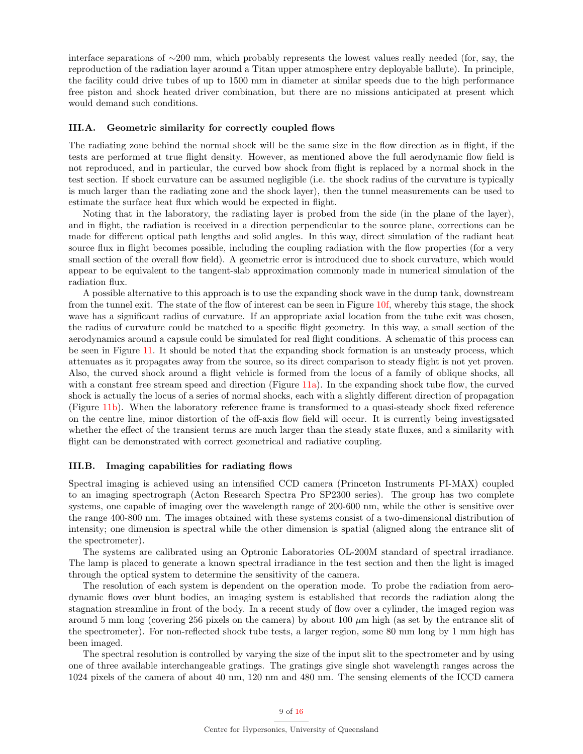interface separations of ∼200 mm, which probably represents the lowest values really needed (for, say, the reproduction of the radiation layer around a Titan upper atmosphere entry deployable ballute). In principle, the facility could drive tubes of up to 1500 mm in diameter at similar speeds due to the high performance free piston and shock heated driver combination, but there are no missions anticipated at present which would demand such conditions.

#### III.A. Geometric similarity for correctly coupled flows

The radiating zone behind the normal shock will be the same size in the flow direction as in flight, if the tests are performed at true flight density. However, as mentioned above the full aerodynamic flow field is not reproduced, and in particular, the curved bow shock from flight is replaced by a normal shock in the test section. If shock curvature can be assumed negligible (i.e. the shock radius of the curvature is typically is much larger than the radiating zone and the shock layer), then the tunnel measurements can be used to estimate the surface heat flux which would be expected in flight.

Noting that in the laboratory, the radiating layer is probed from the side (in the plane of the layer), and in flight, the radiation is received in a direction perpendicular to the source plane, corrections can be made for different optical path lengths and solid angles. In this way, direct simulation of the radiant heat source flux in flight becomes possible, including the coupling radiation with the flow properties (for a very small section of the overall flow field). A geometric error is introduced due to shock curvature, which would appear to be equivalent to the tangent-slab approximation commonly made in numerical simulation of the radiation flux.

A possible alternative to this approach is to use the expanding shock wave in the dump tank, downstream from the tunnel exit. The state of the flow of interest can be seen in Figure 10f, whereby this stage, the shock wave has a significant radius of curvature. If an appropriate axial location from the tube exit was chosen, the radius of curvature could be matched to a specific flight geometry. In this way, a small section of the aerodynamics around a capsule could be simulated for real flight conditions. A schematic of this process can be seen in Figure 11. It should be noted that the expanding shock formation is an unsteady process, which attenuates as it propagates away from the source, so its direct comparison to steady flight is not yet proven. Also, the curved shock around a flight vehicle is formed from the locus of a family of oblique shocks, all with a constant free stream speed and direction (Figure  $11a$ ). In the expanding shock tube flow, the curved shock is actually the locus of a series of normal shocks, each with a slightly different direction of propagation (Figure 11b). When the laboratory reference frame is transformed to a quasi-steady shock fixed reference on the centre line, minor distortion of the off-axis flow field will occur. It is currently being investigsated whether the effect of the transient terms are much larger than the steady state fluxes, and a similarity with flight can be demonstrated with correct geometrical and radiative coupling.

#### III.B. Imaging capabilities for radiating flows

Spectral imaging is achieved using an intensified CCD camera (Princeton Instruments PI-MAX) coupled to an imaging spectrograph (Acton Research Spectra Pro SP2300 series). The group has two complete systems, one capable of imaging over the wavelength range of 200-600 nm, while the other is sensitive over the range 400-800 nm. The images obtained with these systems consist of a two-dimensional distribution of intensity; one dimension is spectral while the other dimension is spatial (aligned along the entrance slit of the spectrometer).

The systems are calibrated using an Optronic Laboratories OL-200M standard of spectral irradiance. The lamp is placed to generate a known spectral irradiance in the test section and then the light is imaged through the optical system to determine the sensitivity of the camera.

The resolution of each system is dependent on the operation mode. To probe the radiation from aerodynamic flows over blunt bodies, an imaging system is established that records the radiation along the stagnation streamline in front of the body. In a recent study of flow over a cylinder, the imaged region was around 5 mm long (covering 256 pixels on the camera) by about 100 µm high (as set by the entrance slit of the spectrometer). For non-reflected shock tube tests, a larger region, some 80 mm long by 1 mm high has been imaged.

The spectral resolution is controlled by varying the size of the input slit to the spectrometer and by using one of three available interchangeable gratings. The gratings give single shot wavelength ranges across the 1024 pixels of the camera of about 40 nm, 120 nm and 480 nm. The sensing elements of the ICCD camera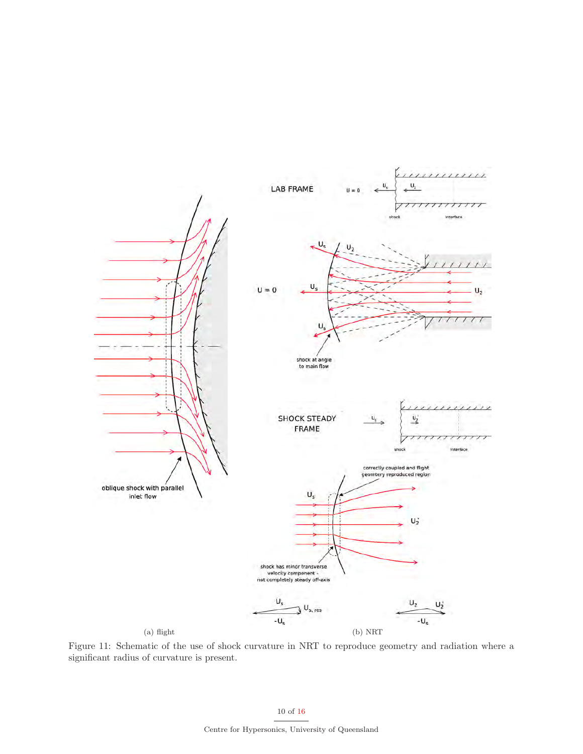

Figure 11: Schematic of the use of shock curvature in NRT to reproduce geometry and radiation where a significant radius of curvature is present.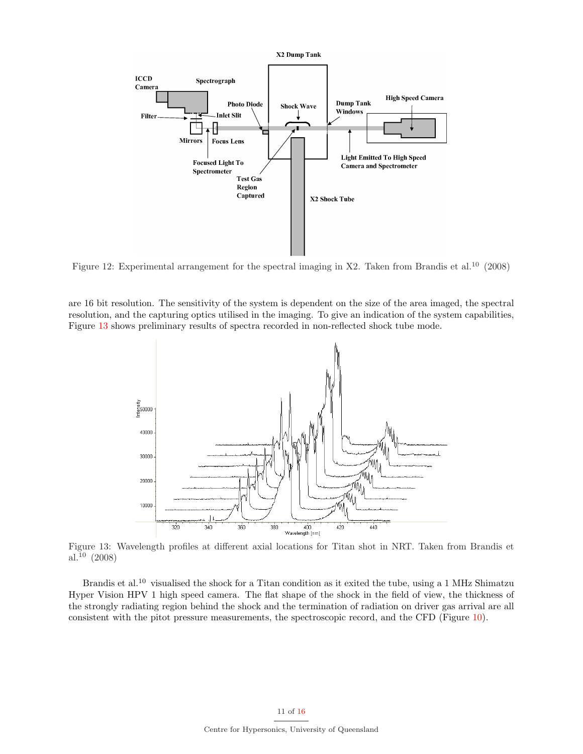

Figure 12: Experimental arrangement for the spectral imaging in X2. Taken from Brandis et al.<sup>10</sup> (2008)

are 16 bit resolution. The sensitivity of the system is dependent on the size of the area imaged, the spectral resolution, and the capturing optics utilised in the imaging. To give an indication of the system capabilities, Figure 13 shows preliminary results of spectra recorded in non-reflected shock tube mode.



Figure 13: Wavelength profiles at different axial locations for Titan shot in NRT. Taken from Brandis et al. $10$  (2008)

Brandis et al.<sup>10</sup> visualised the shock for a Titan condition as it exited the tube, using a 1 MHz Shimatzu Hyper Vision HPV 1 high speed camera. The flat shape of the shock in the field of view, the thickness of the strongly radiating region behind the shock and the termination of radiation on driver gas arrival are all consistent with the pitot pressure measurements, the spectroscopic record, and the CFD (Figure 10).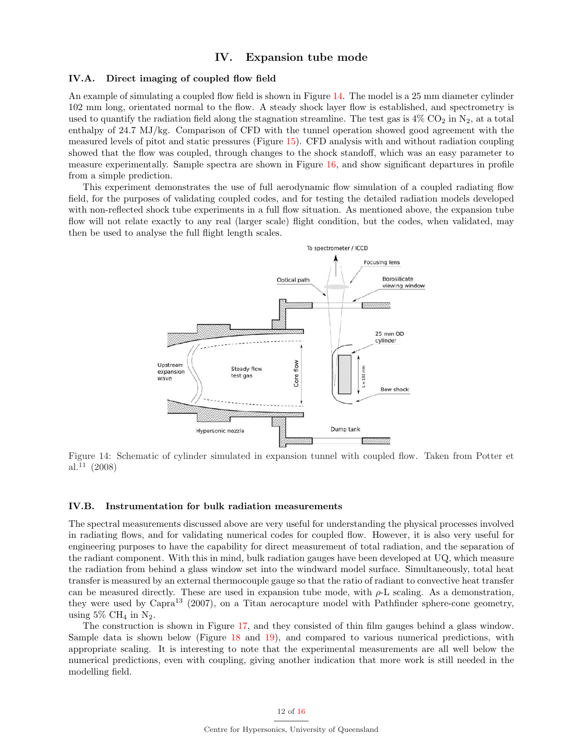# IV. Expansion tube mode

#### IV.A. Direct imaging of coupled flow field

An example of simulating a coupled flow field is shown in Figure 14. The model is a 25 mm diameter cylinder 102 mm long, orientated normal to the flow. A steady shock layer flow is established, and spectrometry is used to quantify the radiation field along the stagnation streamline. The test gas is  $4\%$  CO<sub>2</sub> in N<sub>2</sub>, at a total enthalpy of 24.7 MJ/kg. Comparison of CFD with the tunnel operation showed good agreement with the measured levels of pitot and static pressures (Figure 15). CFD analysis with and without radiation coupling showed that the flow was coupled, through changes to the shock standoff, which was an easy parameter to measure experimentally. Sample spectra are shown in Figure 16, and show significant departures in profile from a simple prediction.

This experiment demonstrates the use of full aerodynamic flow simulation of a coupled radiating flow field, for the purposes of validating coupled codes, and for testing the detailed radiation models developed with non-reflected shock tube experiments in a full flow situation. As mentioned above, the expansion tube flow will not relate exactly to any real (larger scale) flight condition, but the codes, when validated, may then be used to analyse the full flight length scales.



Figure 14: Schematic of cylinder simulated in expansion tunnel with coupled flow. Taken from Potter et al.<sup>11</sup> (2008)

#### IV.B. Instrumentation for bulk radiation measurements

The spectral measurements discussed above are very useful for understanding the physical processes involved in radiating flows, and for validating numerical codes for coupled flow. However, it is also very useful for engineering purposes to have the capability for direct measurement of total radiation, and the separation of the radiant component. With this in mind, bulk radiation gauges have been developed at UQ, which measure the radiation from behind a glass window set into the windward model surface. Simultaneously, total heat transfer is measured by an external thermocouple gauge so that the ratio of radiant to convective heat transfer can be measured directly. These are used in expansion tube mode, with  $\rho$ -L scaling. As a demonstration, they were used by Capra<sup>13</sup> (2007), on a Titan aerocapture model with Pathfinder sphere-cone geometry, using  $5\%$  CH<sub>4</sub> in N<sub>2</sub>.

The construction is shown in Figure 17, and they consisted of thin film gauges behind a glass window. Sample data is shown below (Figure 18 and 19), and compared to various numerical predictions, with appropriate scaling. It is interesting to note that the experimental measurements are all well below the numerical predictions, even with coupling, giving another indication that more work is still needed in the modelling field.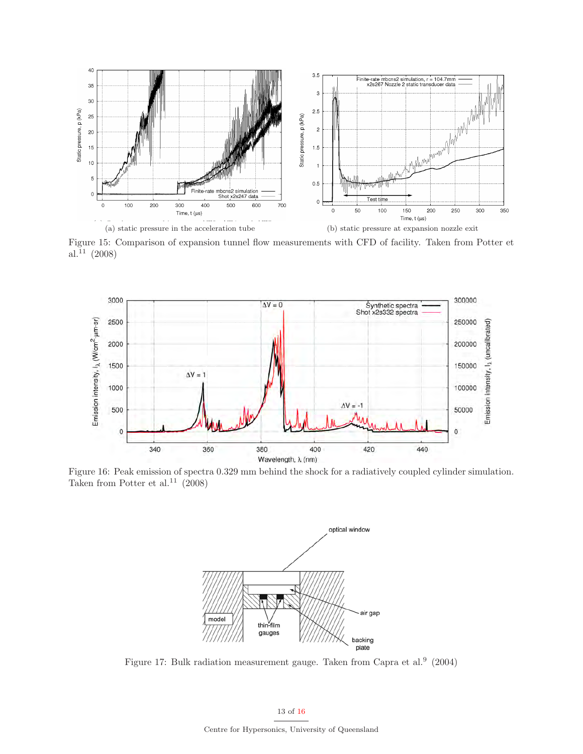

Figure 15: Comparison of expansion tunnel flow measurements with CFD of facility. Taken from Potter et al.<sup>11</sup> (2008)



Figure 16: Peak emission of spectra 0.329 mm behind the shock for a radiatively coupled cylinder simulation. Taken from Potter et al.<sup>11</sup> (2008)



Figure 17: Bulk radiation measurement gauge. Taken from Capra et al. $9$  (2004)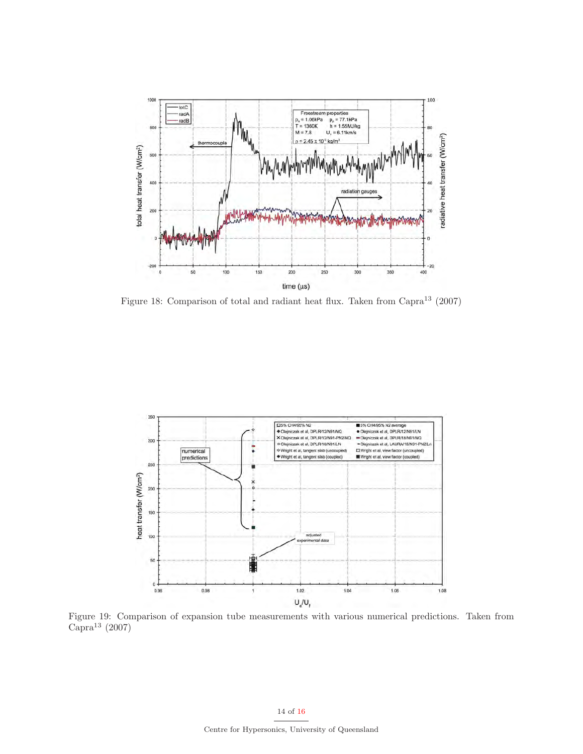

Figure 18: Comparison of total and radiant heat flux. Taken from Capra<sup>13</sup> (2007)



Figure 19: Comparison of expansion tube measurements with various numerical predictions. Taken from  $Capra^{13}$  (2007)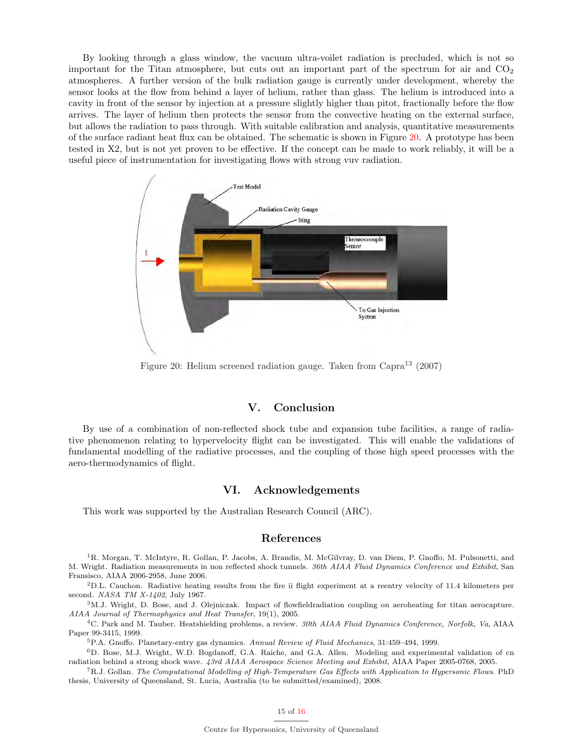By looking through a glass window, the vacuum ultra-voilet radiation is precluded, which is not so important for the Titan atmosphere, but cuts out an important part of the spectrum for air and  $CO<sub>2</sub>$ atmospheres. A further version of the bulk radiation gauge is currently under development, whereby the sensor looks at the flow from behind a layer of helium, rather than glass. The helium is introduced into a cavity in front of the sensor by injection at a pressure slightly higher than pitot, fractionally before the flow arrives. The layer of helium then protects the sensor from the convective heating on the external surface, but allows the radiation to pass through. With suitable calibration and analysis, quantitative measurements of the surface radiant heat flux can be obtained. The schematic is shown in Figure 20. A prototype has been tested in X2, but is not yet proven to be effective. If the concept can be made to work reliably, it will be a useful piece of instrumentation for investigating flows with strong vuv radiation.



Figure 20: Helium screened radiation gauge. Taken from  $\text{Capra}^{13}$  (2007)

# V. Conclusion

By use of a combination of non-reflected shock tube and expansion tube facilities, a range of radiative phenomenon relating to hypervelocity flight can be investigated. This will enable the validations of fundamental modelling of the radiative processes, and the coupling of those high speed processes with the aero-thermodynamics of flight.

#### VI. Acknowledgements

This work was supported by the Australian Research Council (ARC).

#### References

<sup>1</sup>R. Morgan, T. McIntyre, R. Gollan, P. Jacobs, A. Brandis, M. McGilvray, D. van Diem, P. Gnoffo, M. Pulsonetti, and M. Wright. Radiation measurements in non reflected shock tunnels. 36th AIAA Fluid Dynamics Conference and Exhibit, San Fransisco, AIAA 2006-2958, June 2006.

<sup>2</sup>D.L. Cauchon. Radiative heating results from the fire ii flight experiment at a reentry velocity of 11.4 kilometers per second. NASA TM X-1402, July 1967.

<sup>3</sup>M.J. Wright, D. Bose, and J. Olejniczak. Impact of flowfieldradiation coupling on aeroheating for titan aerocapture. AIAA Journal of Thermophysics and Heat Transfer, 19(1), 2005.

 $4C$ . Park and M. Tauber. Heatshielding problems, a review. 30th AIAA Fluid Dynamics Conference, Norfolk, Va, AIAA Paper 99-3415, 1999.

<sup>5</sup>P.A. Gnoffo. Planetary-entry gas dynamics. Annual Review of Fluid Mechanics, 31:459–494, 1999.

<sup>6</sup>D. Bose, M.J. Wright, W.D. Bogdanoff, G.A. Raiche, and G.A. Allen. Modeling and experimental validation of cn radiation behind a strong shock wave. 43rd AIAA Aerospace Science Meeting and Exhibit, AIAA Paper 2005-0768, 2005.

 ${}^{7}R$ .J. Gollan. The Computational Modelling of High-Temperature Gas Effects with Application to Hypersonic Flows. PhD thesis, University of Queensland, St. Lucia, Australia (to be submitted/examined), 2008.